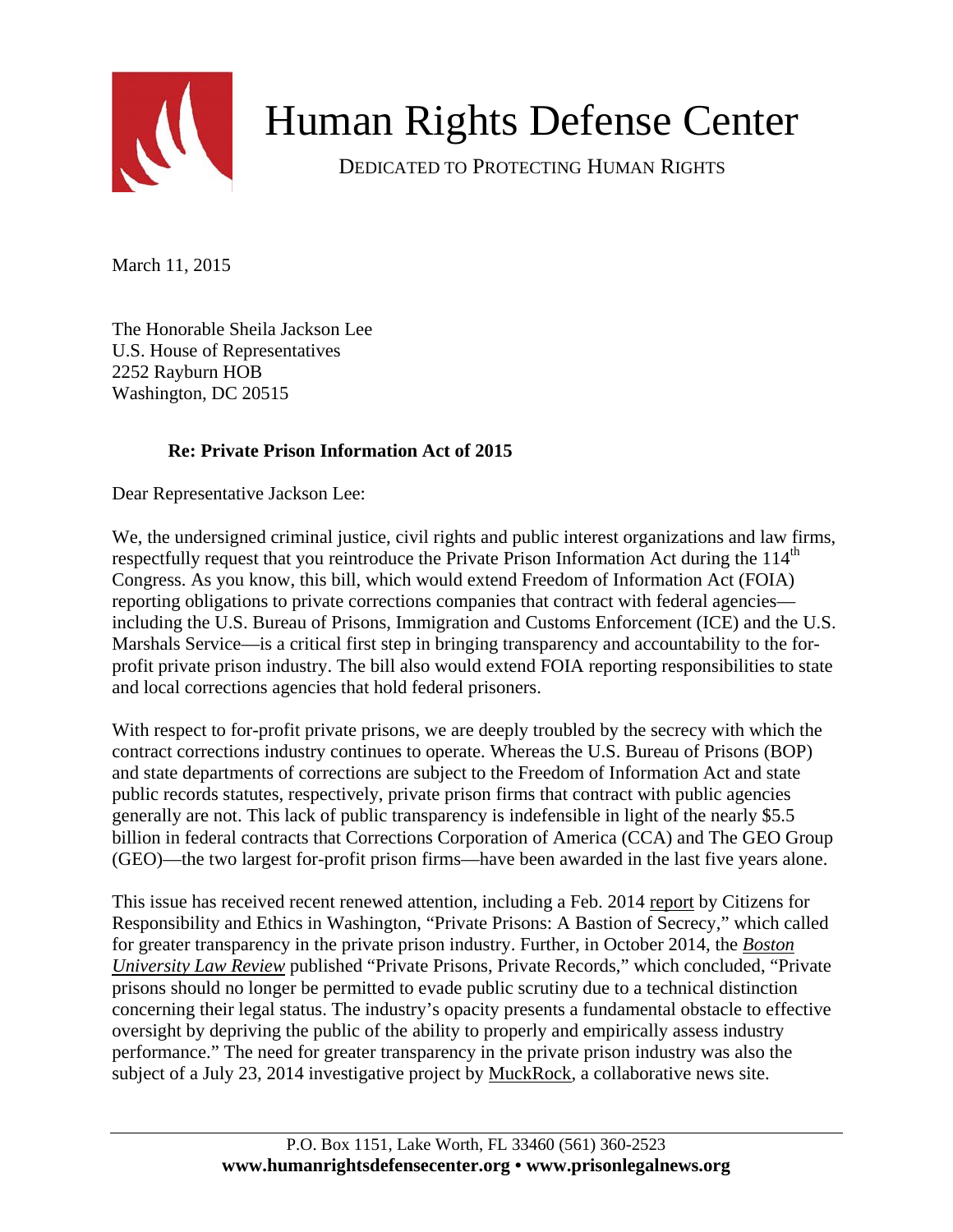

## Human Rights Defense Center

DEDICATED TO PROTECTING HUMAN RIGHTS

March 11, 2015

The Honorable Sheila Jackson Lee U.S. House of Representatives 2252 Rayburn HOB Washington, DC 20515

## **Re: Private Prison Information Act of 2015**

Dear Representative Jackson Lee:

We, the undersigned criminal justice, civil rights and public interest organizations and law firms, respectfully request that you reintroduce the Private Prison Information Act during the 114<sup>th</sup> Congress. As you know, this bill, which would extend Freedom of Information Act (FOIA) reporting obligations to private corrections companies that contract with federal agencies including the U.S. Bureau of Prisons, Immigration and Customs Enforcement (ICE) and the U.S. Marshals Service—is a critical first step in bringing transparency and accountability to the forprofit private prison industry. The bill also would extend FOIA reporting responsibilities to state and local corrections agencies that hold federal prisoners.

With respect to for-profit private prisons, we are deeply troubled by the secrecy with which the contract corrections industry continues to operate. Whereas the U.S. Bureau of Prisons (BOP) and state departments of corrections are subject to the Freedom of Information Act and state public records statutes, respectively, private prison firms that contract with public agencies generally are not. This lack of public transparency is indefensible in light of the nearly \$5.5 billion in federal contracts that Corrections Corporation of America (CCA) and The GEO Group (GEO)—the two largest for-profit prison firms—have been awarded in the last five years alone.

This issue has received recent renewed attention, including a Feb. 2014 [report](http://www.citizensforethics.org/page/-/PDFs/Reports/CREW_Private_Prisons_FOIA_secrecy_report_02_18_2014.pdf?nocdn=1) by Citizens for Responsibility and Ethics in Washington, "Private Prisons: A Bastion of Secrecy," which called for greater transparency in the private prison industry. Further, in October 2014, the *[Boston](http://www.bu.edu/bulawreview/files/2014/10/TARTAGLIA.pdf)  [University Law Review](http://www.bu.edu/bulawreview/files/2014/10/TARTAGLIA.pdf)* published "Private Prisons, Private Records," which concluded, "Private prisons should no longer be permitted to evade public scrutiny due to a technical distinction concerning their legal status. The industry's opacity presents a fundamental obstacle to effective oversight by depriving the public of the ability to properly and empirically assess industry performance." The need for greater transparency in the private prison industry was also the subject of a July 23, 2014 investigative project by [MuckRock](https://www.muckrock.com/news/archives/2014/jul/23/introducing-private-prison-project/), a collaborative news site.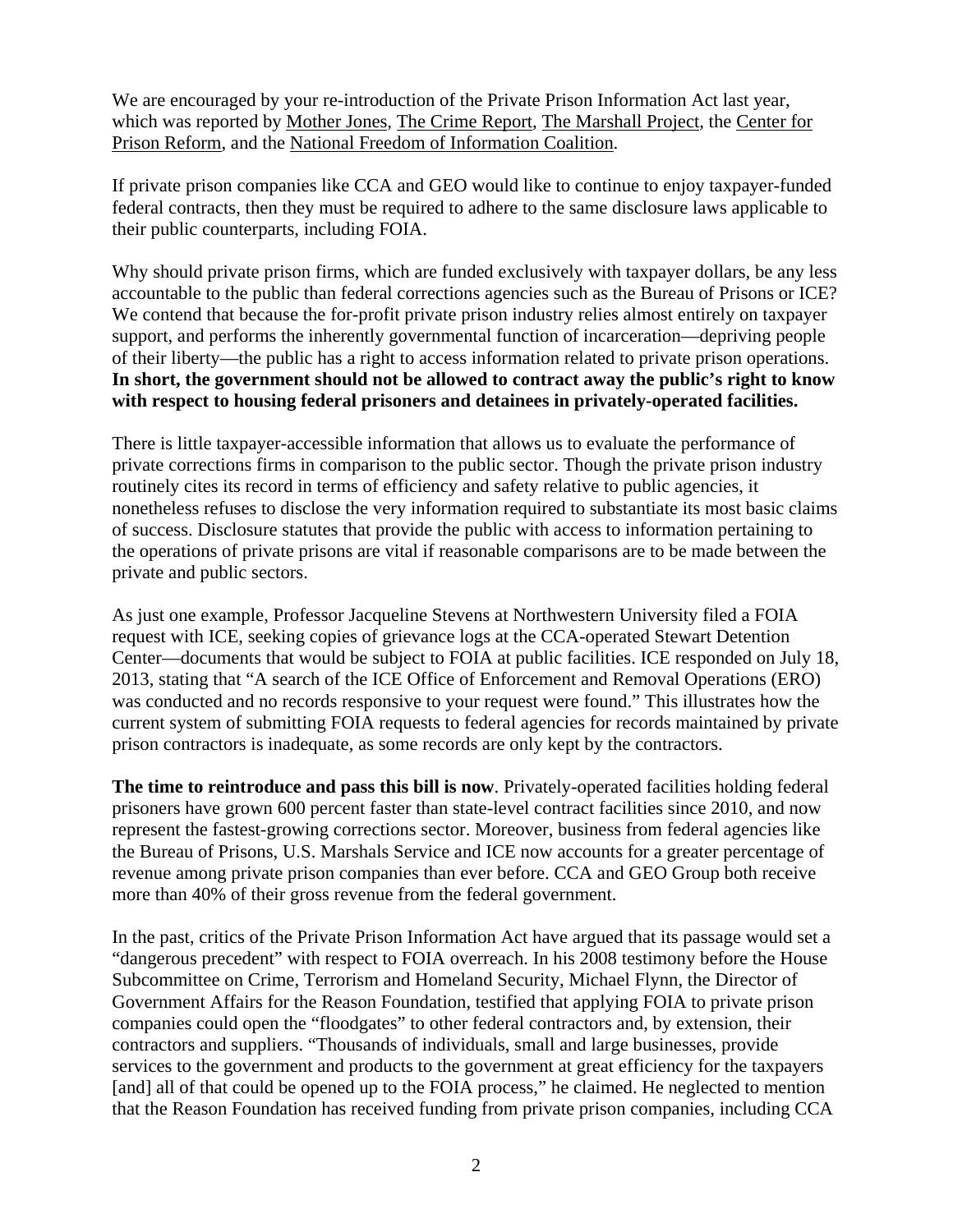We are encouraged by your re-introduction of the Private Prison Information Act last year, which was reported by [Mother Jones,](http://www.motherjones.com/mojo/2014/12/will-private-prisons-ever-be-subject-open-records-laws) [The Crime Report](http://www.thecrimereport.org/viewpoints/2015-01-lets-bring-sunshine-into-private-prisons), [The Marshall Project,](https://www.themarshallproject.org/2014/12/18/everything-you-ever-wanted-to-know-about-private-prisons) the [Center for](https://centerforprisonreform.org/private-prison-information-act-reintroduced-congress/)  [Prison Reform](https://centerforprisonreform.org/private-prison-information-act-reintroduced-congress/), and the [National Freedom of Information Coalition](http://www.nfoic.org/will-private-prisons-finally-be-subject-freedom-information-act).

If private prison companies like CCA and GEO would like to continue to enjoy taxpayer-funded federal contracts, then they must be required to adhere to the same disclosure laws applicable to their public counterparts, including FOIA.

Why should private prison firms, which are funded exclusively with taxpayer dollars, be any less accountable to the public than federal corrections agencies such as the Bureau of Prisons or ICE? We contend that because the for-profit private prison industry relies almost entirely on taxpayer support, and performs the inherently governmental function of incarceration—depriving people of their liberty—the public has a right to access information related to private prison operations. **In short, the government should not be allowed to contract away the public's right to know with respect to housing federal prisoners and detainees in privately-operated facilities.** 

There is little taxpayer-accessible information that allows us to evaluate the performance of private corrections firms in comparison to the public sector. Though the private prison industry routinely cites its record in terms of efficiency and safety relative to public agencies, it nonetheless refuses to disclose the very information required to substantiate its most basic claims of success. Disclosure statutes that provide the public with access to information pertaining to the operations of private prisons are vital if reasonable comparisons are to be made between the private and public sectors.

As just one example, Professor Jacqueline Stevens at Northwestern University filed a FOIA request with ICE, seeking copies of grievance logs at the CCA-operated Stewart Detention Center—documents that would be subject to FOIA at public facilities. ICE responded on July 18, 2013, stating that "A search of the ICE Office of Enforcement and Removal Operations (ERO) was conducted and no records responsive to your request were found." This illustrates how the current system of submitting FOIA requests to federal agencies for records maintained by private prison contractors is inadequate, as some records are only kept by the contractors.

**The time to reintroduce and pass this bill is now**. Privately-operated facilities holding federal prisoners have grown 600 percent faster than state-level contract facilities since 2010, and now represent the fastest-growing corrections sector. Moreover, business from federal agencies like the Bureau of Prisons, U.S. Marshals Service and ICE now accounts for a greater percentage of revenue among private prison companies than ever before. CCA and GEO Group both receive more than 40% of their gross revenue from the federal government.

In the past, critics of the Private Prison Information Act have argued that its passage would set a "dangerous precedent" with respect to FOIA overreach. In his 2008 testimony before the House Subcommittee on Crime, Terrorism and Homeland Security, Michael Flynn, the Director of Government Affairs for the Reason Foundation, testified that applying FOIA to private prison companies could open the "floodgates" to other federal contractors and, by extension, their contractors and suppliers. "Thousands of individuals, small and large businesses, provide services to the government and products to the government at great efficiency for the taxpayers [and] all of that could be opened up to the FOIA process," he claimed. He neglected to mention that the Reason Foundation has received funding from private prison companies, including CCA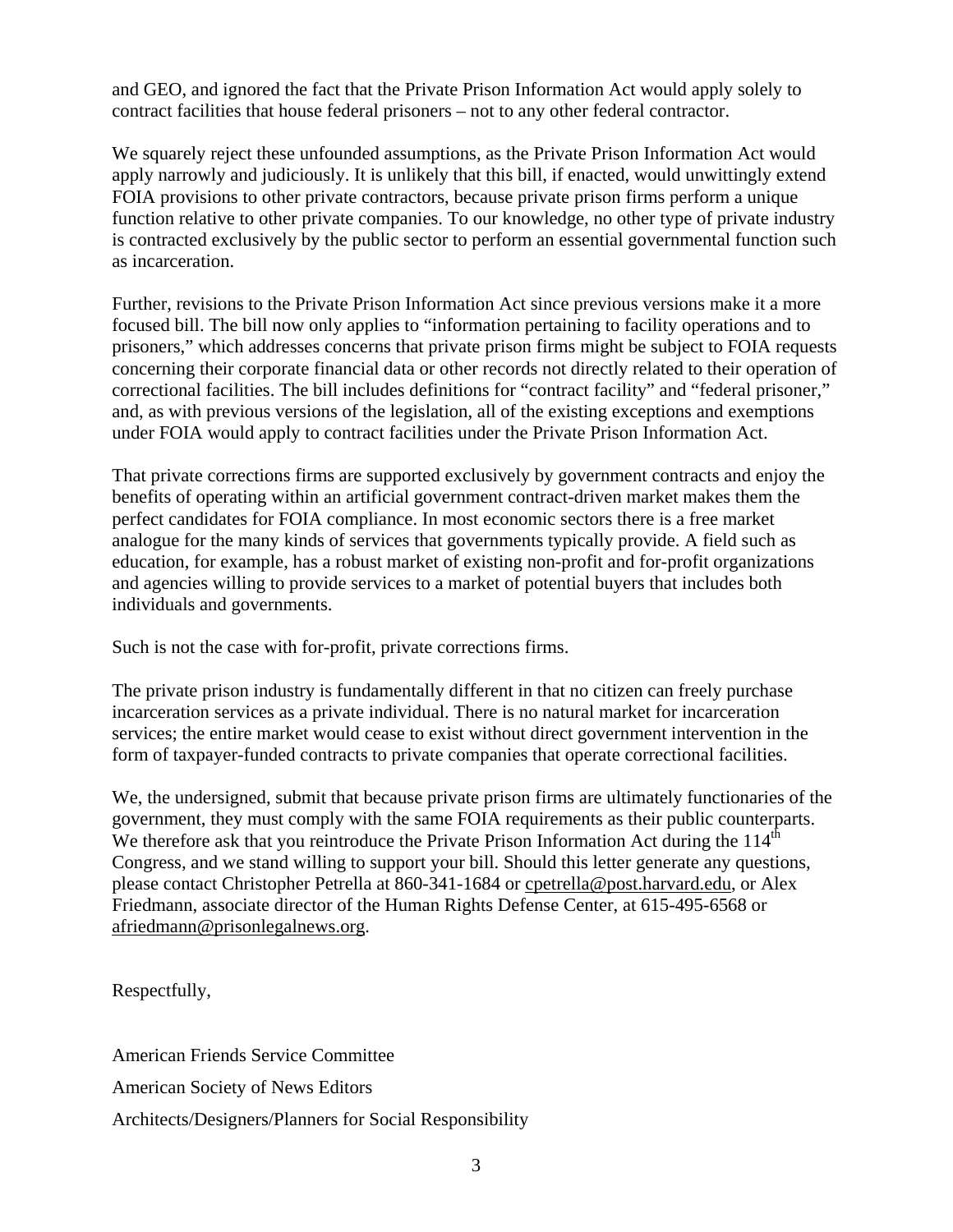and GEO, and ignored the fact that the Private Prison Information Act would apply solely to contract facilities that house federal prisoners – not to any other federal contractor.

We squarely reject these unfounded assumptions, as the Private Prison Information Act would apply narrowly and judiciously. It is unlikely that this bill, if enacted, would unwittingly extend FOIA provisions to other private contractors, because private prison firms perform a unique function relative to other private companies. To our knowledge, no other type of private industry is contracted exclusively by the public sector to perform an essential governmental function such as incarceration.

Further, revisions to the Private Prison Information Act since previous versions make it a more focused bill. The bill now only applies to "information pertaining to facility operations and to prisoners," which addresses concerns that private prison firms might be subject to FOIA requests concerning their corporate financial data or other records not directly related to their operation of correctional facilities. The bill includes definitions for "contract facility" and "federal prisoner," and, as with previous versions of the legislation, all of the existing exceptions and exemptions under FOIA would apply to contract facilities under the Private Prison Information Act.

That private corrections firms are supported exclusively by government contracts and enjoy the benefits of operating within an artificial government contract-driven market makes them the perfect candidates for FOIA compliance. In most economic sectors there is a free market analogue for the many kinds of services that governments typically provide. A field such as education, for example, has a robust market of existing non-profit and for-profit organizations and agencies willing to provide services to a market of potential buyers that includes both individuals and governments.

Such is not the case with for-profit, private corrections firms.

The private prison industry is fundamentally different in that no citizen can freely purchase incarceration services as a private individual. There is no natural market for incarceration services; the entire market would cease to exist without direct government intervention in the form of taxpayer-funded contracts to private companies that operate correctional facilities.

We, the undersigned, submit that because private prison firms are ultimately functionaries of the government, they must comply with the same FOIA requirements as their public counterparts. We therefore ask that you reintroduce the Private Prison Information Act during the  $114<sup>th</sup>$ Congress, and we stand willing to support your bill. Should this letter generate any questions, please contact Christopher Petrella at 860-341-1684 or [cpetrella@post.harvard.edu,](mailto:cpetrella@post.harvard.edu) or Alex Friedmann, associate director of the Human Rights Defense Center, at 615-495-6568 or [afriedmann@prisonlegalnews.org.](mailto:afriedmann@prisonlegalnews.org)

Respectfully,

American Friends Service Committee American Society of News Editors

Architects/Designers/Planners for Social Responsibility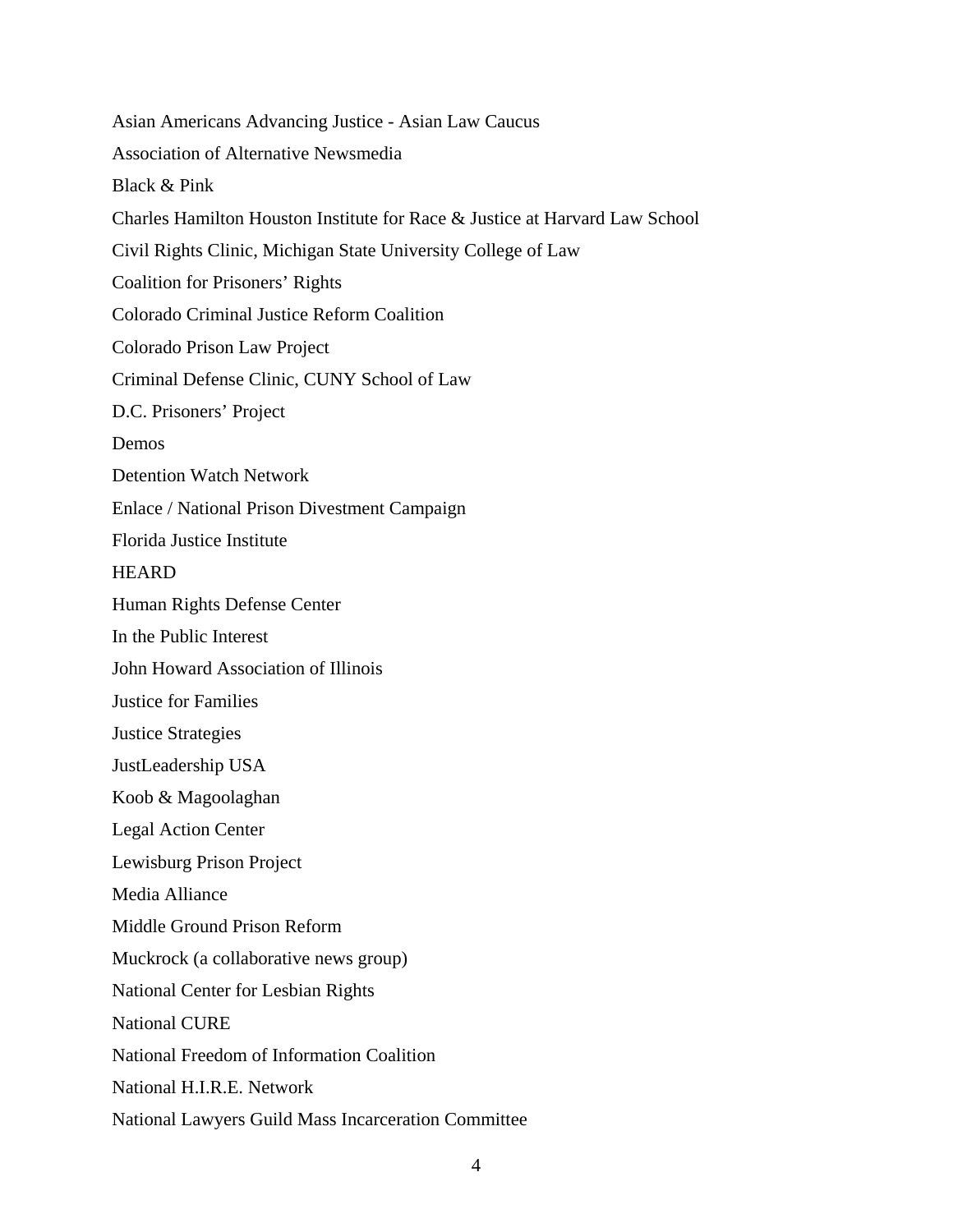Asian Americans Advancing Justice - Asian Law Caucus Association of Alternative Newsmedia Black & Pink Charles Hamilton Houston Institute for Race & Justice at Harvard Law School Civil Rights Clinic, Michigan State University College of Law Coalition for Prisoners' Rights Colorado Criminal Justice Reform Coalition Colorado Prison Law Project Criminal Defense Clinic, CUNY School of Law D.C. Prisoners' Project Demos Detention Watch Network Enlace / National Prison Divestment Campaign Florida Justice Institute **HEARD** Human Rights Defense Center In the Public Interest John Howard Association of Illinois Justice for Families Justice Strategies JustLeadership USA Koob & Magoolaghan Legal Action Center Lewisburg Prison Project Media Alliance Middle Ground Prison Reform Muckrock (a collaborative news group) National Center for Lesbian Rights National CURE National Freedom of Information Coalition National H.I.R.E. Network National Lawyers Guild Mass Incarceration Committee